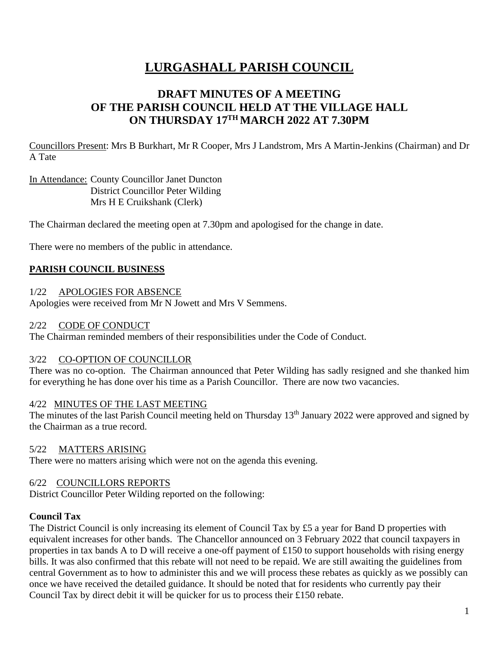# **LURGASHALL PARISH COUNCIL**

# **DRAFT MINUTES OF A MEETING OF THE PARISH COUNCIL HELD AT THE VILLAGE HALL ON THURSDAY 17TH MARCH 2022 AT 7.30PM**

Councillors Present: Mrs B Burkhart, Mr R Cooper, Mrs J Landstrom, Mrs A Martin-Jenkins (Chairman) and Dr A Tate

In Attendance: County Councillor Janet Duncton District Councillor Peter Wilding Mrs H E Cruikshank (Clerk)

The Chairman declared the meeting open at 7.30pm and apologised for the change in date.

There were no members of the public in attendance.

# **PARISH COUNCIL BUSINESS**

#### 1/22 APOLOGIES FOR ABSENCE

Apologies were received from Mr N Jowett and Mrs V Semmens.

#### 2/22 CODE OF CONDUCT

The Chairman reminded members of their responsibilities under the Code of Conduct.

#### 3/22 CO-OPTION OF COUNCILLOR

There was no co-option. The Chairman announced that Peter Wilding has sadly resigned and she thanked him for everything he has done over his time as a Parish Councillor. There are now two vacancies.

#### 4/22 MINUTES OF THE LAST MEETING

The minutes of the last Parish Council meeting held on Thursday 13<sup>th</sup> January 2022 were approved and signed by the Chairman as a true record.

#### 5/22 MATTERS ARISING

There were no matters arising which were not on the agenda this evening.

#### 6/22 COUNCILLORS REPORTS

District Councillor Peter Wilding reported on the following:

#### **Council Tax**

The District Council is only increasing its element of Council Tax by £5 a year for Band D properties with equivalent increases for other bands. The Chancellor announced on 3 February 2022 that council taxpayers in properties in tax bands A to D will receive a one-off payment of £150 to support households with rising energy bills. It was also confirmed that this rebate will not need to be repaid. We are still awaiting the guidelines from central Government as to how to administer this and we will process these rebates as quickly as we possibly can once we have received the detailed guidance. It should be noted that for residents who currently pay their Council Tax by direct debit it will be quicker for us to process their £150 rebate.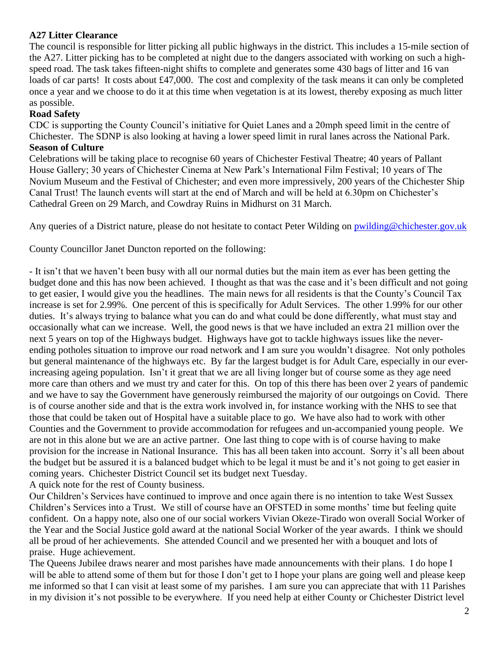## **A27 Litter Clearance**

The council is responsible for litter picking all public highways in the district. This includes a 15-mile section of the A27. Litter picking has to be completed at night due to the dangers associated with working on such a highspeed road. The task takes fifteen-night shifts to complete and generates some 430 bags of litter and 16 van loads of car parts! It costs about £47,000. The cost and complexity of the task means it can only be completed once a year and we choose to do it at this time when vegetation is at its lowest, thereby exposing as much litter as possible.

## **Road Safety**

CDC is supporting the County Council's initiative for Quiet Lanes and a 20mph speed limit in the centre of Chichester. The SDNP is also looking at having a lower speed limit in rural lanes across the National Park. **Season of Culture**

Celebrations will be taking place to recognise 60 years of Chichester Festival Theatre; 40 years of Pallant House Gallery; 30 years of Chichester Cinema at New Park's International Film Festival; 10 years of The Novium Museum and the Festival of Chichester; and even more impressively, 200 years of the Chichester Ship Canal Trust! The launch events will start at the end of March and will be held at 6.30pm on Chichester's Cathedral Green on 29 March, and Cowdray Ruins in Midhurst on 31 March.

Any queries of a District nature, please do not hesitate to contact Peter Wilding on [pwilding@chichester.gov.uk](mailto:pwilding@chichester.gov.uk)

County Councillor Janet Duncton reported on the following:

- It isn't that we haven't been busy with all our normal duties but the main item as ever has been getting the budget done and this has now been achieved. I thought as that was the case and it's been difficult and not going to get easier, I would give you the headlines. The main news for all residents is that the County's Council Tax increase is set for 2.99%. One percent of this is specifically for Adult Services. The other 1.99% for our other duties. It's always trying to balance what you can do and what could be done differently, what must stay and occasionally what can we increase. Well, the good news is that we have included an extra 21 million over the next 5 years on top of the Highways budget. Highways have got to tackle highways issues like the neverending potholes situation to improve our road network and I am sure you wouldn't disagree. Not only potholes but general maintenance of the highways etc. By far the largest budget is for Adult Care, especially in our everincreasing ageing population. Isn't it great that we are all living longer but of course some as they age need more care than others and we must try and cater for this. On top of this there has been over 2 years of pandemic and we have to say the Government have generously reimbursed the majority of our outgoings on Covid. There is of course another side and that is the extra work involved in, for instance working with the NHS to see that those that could be taken out of Hospital have a suitable place to go. We have also had to work with other Counties and the Government to provide accommodation for refugees and un-accompanied young people. We are not in this alone but we are an active partner. One last thing to cope with is of course having to make provision for the increase in National Insurance. This has all been taken into account. Sorry it's all been about the budget but be assured it is a balanced budget which to be legal it must be and it's not going to get easier in coming years. Chichester District Council set its budget next Tuesday.

A quick note for the rest of County business.

Our Children's Services have continued to improve and once again there is no intention to take West Sussex Children's Services into a Trust. We still of course have an OFSTED in some months' time but feeling quite confident. On a happy note, also one of our social workers Vivian Okeze-Tirado won overall Social Worker of the Year and the Social Justice gold award at the national Social Worker of the year awards. I think we should all be proud of her achievements. She attended Council and we presented her with a bouquet and lots of praise. Huge achievement.

The Queens Jubilee draws nearer and most parishes have made announcements with their plans. I do hope I will be able to attend some of them but for those I don't get to I hope your plans are going well and please keep me informed so that I can visit at least some of my parishes. I am sure you can appreciate that with 11 Parishes in my division it's not possible to be everywhere. If you need help at either County or Chichester District level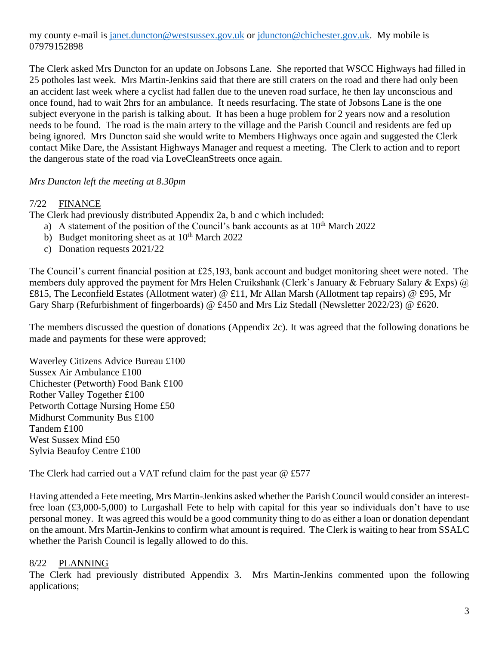my county e-mail is [janet.duncton@westsussex.gov.uk](https://webmail.function28.co.uk/mail/compose?to=janet.duncton@westsussex.gov.uk) or [jduncton@chichester.gov.uk.](https://webmail.function28.co.uk/mail/compose?to=jduncton@chichester.gov.uk) My mobile is 07979152898

The Clerk asked Mrs Duncton for an update on Jobsons Lane. She reported that WSCC Highways had filled in 25 potholes last week. Mrs Martin-Jenkins said that there are still craters on the road and there had only been an accident last week where a cyclist had fallen due to the uneven road surface, he then lay unconscious and once found, had to wait 2hrs for an ambulance. It needs resurfacing. The state of Jobsons Lane is the one subject everyone in the parish is talking about. It has been a huge problem for 2 years now and a resolution needs to be found. The road is the main artery to the village and the Parish Council and residents are fed up being ignored. Mrs Duncton said she would write to Members Highways once again and suggested the Clerk contact Mike Dare, the Assistant Highways Manager and request a meeting. The Clerk to action and to report the dangerous state of the road via LoveCleanStreets once again.

*Mrs Duncton left the meeting at 8.30pm*

## 7/22 FINANCE

The Clerk had previously distributed Appendix 2a, b and c which included:

- a) A statement of the position of the Council's bank accounts as at  $10<sup>th</sup>$  March 2022
- b) Budget monitoring sheet as at  $10<sup>th</sup>$  March 2022
- c) Donation requests 2021/22

The Council's current financial position at £25,193, bank account and budget monitoring sheet were noted. The members duly approved the payment for Mrs Helen Cruikshank (Clerk's January & February Salary & Exps)  $\omega$ £815, The Leconfield Estates (Allotment water) @ £11, Mr Allan Marsh (Allotment tap repairs) @ £95, Mr Gary Sharp (Refurbishment of fingerboards) @ £450 and Mrs Liz Stedall (Newsletter 2022/23) @ £620.

The members discussed the question of donations (Appendix 2c). It was agreed that the following donations be made and payments for these were approved;

Waverley Citizens Advice Bureau £100 Sussex Air Ambulance £100 Chichester (Petworth) Food Bank £100 Rother Valley Together £100 Petworth Cottage Nursing Home £50 Midhurst Community Bus £100 Tandem £100 West Sussex Mind £50 Sylvia Beaufoy Centre £100

The Clerk had carried out a VAT refund claim for the past year @ £577

Having attended a Fete meeting, Mrs Martin-Jenkins asked whether the Parish Council would consider an interestfree loan (£3,000-5,000) to Lurgashall Fete to help with capital for this year so individuals don't have to use personal money. It was agreed this would be a good community thing to do as either a loan or donation dependant on the amount. Mrs Martin-Jenkins to confirm what amount is required. The Clerk is waiting to hear from SSALC whether the Parish Council is legally allowed to do this.

## 8/22 PLANNING

The Clerk had previously distributed Appendix 3. Mrs Martin-Jenkins commented upon the following applications;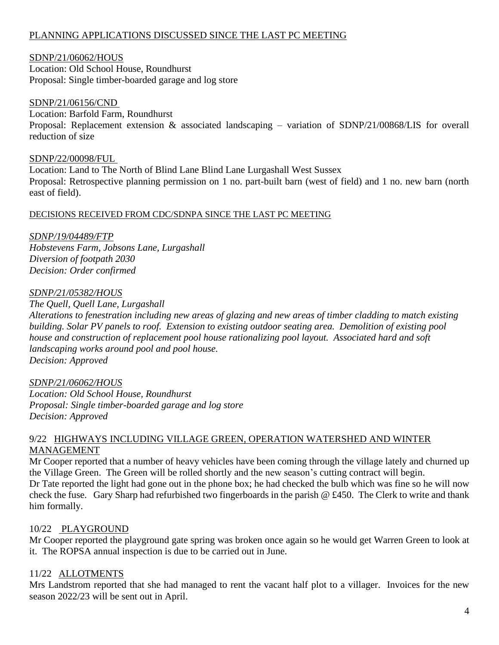# PLANNING APPLICATIONS DISCUSSED SINCE THE LAST PC MEETING

## SDNP/21/06062/HOUS

Location: Old School House, Roundhurst Proposal: Single timber-boarded garage and log store

#### SDNP/21/06156/CND

Location: Barfold Farm, Roundhurst Proposal: Replacement extension & associated landscaping – variation of SDNP/21/00868/LIS for overall reduction of size

## SDNP/22/00098/FUL

Location: Land to The North of Blind Lane Blind Lane Lurgashall West Sussex Proposal: Retrospective planning permission on 1 no. part-built barn (west of field) and 1 no. new barn (north east of field).

#### DECISIONS RECEIVED FROM CDC/SDNPA SINCE THE LAST PC MEETING

## *SDNP/19/04489/FTP*

*Hobstevens Farm, Jobsons Lane, Lurgashall Diversion of footpath 2030 Decision: Order confirmed*

## *SDNP/21/05382/HOUS*

*The Quell, Quell Lane, Lurgashall*

*Alterations to fenestration including new areas of glazing and new areas of timber cladding to match existing building. Solar PV panels to roof. Extension to existing outdoor seating area. Demolition of existing pool house and construction of replacement pool house rationalizing pool layout. Associated hard and soft landscaping works around pool and pool house. Decision: Approved*

## *SDNP/21/06062/HOUS*

*Location: Old School House, Roundhurst Proposal: Single timber-boarded garage and log store Decision: Approved*

#### 9/22 HIGHWAYS INCLUDING VILLAGE GREEN, OPERATION WATERSHED AND WINTER MANAGEMENT

Mr Cooper reported that a number of heavy vehicles have been coming through the village lately and churned up the Village Green. The Green will be rolled shortly and the new season's cutting contract will begin. Dr Tate reported the light had gone out in the phone box; he had checked the bulb which was fine so he will now check the fuse. Gary Sharp had refurbished two fingerboards in the parish @ £450. The Clerk to write and thank him formally.

# 10/22 PLAYGROUND

Mr Cooper reported the playground gate spring was broken once again so he would get Warren Green to look at it. The ROPSA annual inspection is due to be carried out in June.

## 11/22 ALLOTMENTS

Mrs Landstrom reported that she had managed to rent the vacant half plot to a villager. Invoices for the new season 2022/23 will be sent out in April.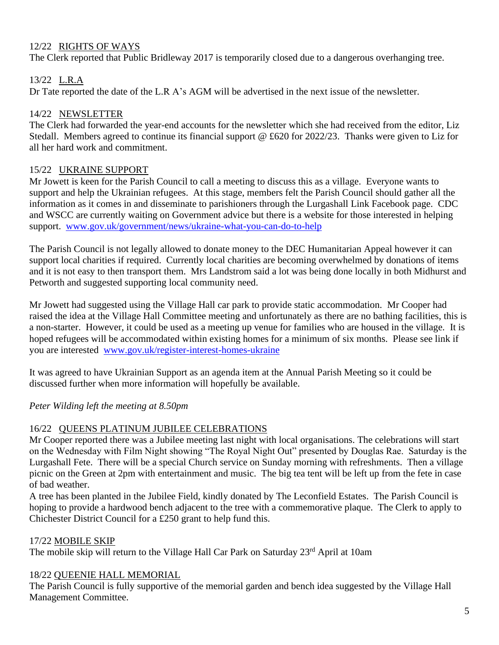# 12/22 RIGHTS OF WAYS

The Clerk reported that Public Bridleway 2017 is temporarily closed due to a dangerous overhanging tree.

# 13/22 L.R.A

Dr Tate reported the date of the L.R A's AGM will be advertised in the next issue of the newsletter.

## 14/22 NEWSLETTER

The Clerk had forwarded the year-end accounts for the newsletter which she had received from the editor, Liz Stedall. Members agreed to continue its financial support @ £620 for 2022/23. Thanks were given to Liz for all her hard work and commitment.

## 15/22 UKRAINE SUPPORT

Mr Jowett is keen for the Parish Council to call a meeting to discuss this as a village. Everyone wants to support and help the Ukrainian refugees. At this stage, members felt the Parish Council should gather all the information as it comes in and disseminate to parishioners through the Lurgashall Link Facebook page. CDC and WSCC are currently waiting on Government advice but there is a website for those interested in helping support. [www.gov.uk/government/news/ukraine-what-you-can-do-to-help](http://www.gov.uk/government/news/ukraine-what-you-can-do-to-help)

The Parish Council is not legally allowed to donate money to the DEC Humanitarian Appeal however it can support local charities if required. Currently local charities are becoming overwhelmed by donations of items and it is not easy to then transport them. Mrs Landstrom said a lot was being done locally in both Midhurst and Petworth and suggested supporting local community need.

Mr Jowett had suggested using the Village Hall car park to provide static accommodation. Mr Cooper had raised the idea at the Village Hall Committee meeting and unfortunately as there are no bathing facilities, this is a non-starter. However, it could be used as a meeting up venue for families who are housed in the village. It is hoped refugees will be accommodated within existing homes for a minimum of six months. Please see link if you are interested [www.gov.uk/register-interest-homes-ukraine](http://www.gov.uk/register-interest-homes-ukraine)

It was agreed to have Ukrainian Support as an agenda item at the Annual Parish Meeting so it could be discussed further when more information will hopefully be available.

*Peter Wilding left the meeting at 8.50pm*

## 16/22 QUEENS PLATINUM JUBILEE CELEBRATIONS

Mr Cooper reported there was a Jubilee meeting last night with local organisations. The celebrations will start on the Wednesday with Film Night showing "The Royal Night Out" presented by Douglas Rae. Saturday is the Lurgashall Fete. There will be a special Church service on Sunday morning with refreshments. Then a village picnic on the Green at 2pm with entertainment and music. The big tea tent will be left up from the fete in case of bad weather.

A tree has been planted in the Jubilee Field, kindly donated by The Leconfield Estates. The Parish Council is hoping to provide a hardwood bench adjacent to the tree with a commemorative plaque. The Clerk to apply to Chichester District Council for a £250 grant to help fund this.

## 17/22 MOBILE SKIP

The mobile skip will return to the Village Hall Car Park on Saturday 23<sup>rd</sup> April at 10am

#### 18/22 QUEENIE HALL MEMORIAL

The Parish Council is fully supportive of the memorial garden and bench idea suggested by the Village Hall Management Committee.